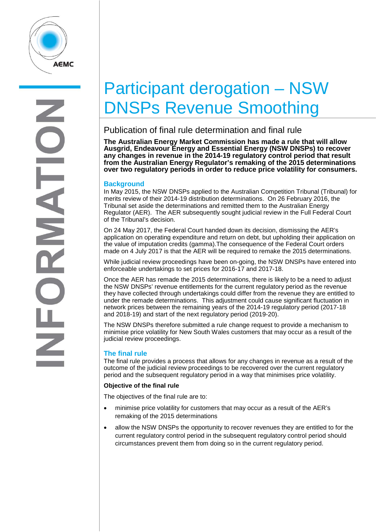

# Participant derogation – NSW DNSPs Revenue Smoothing

# Publication of final rule determination and final rule

**The Australian Energy Market Commission has made a rule that will allow Ausgrid, Endeavour Energy and Essential Energy (NSW DNSPs) to recover any changes in revenue in the 2014-19 regulatory control period that result from the Australian Energy Regulator's remaking of the 2015 determinations over two regulatory periods in order to reduce price volatility for consumers.** 

## **Background**

In May 2015, the NSW DNSPs applied to the Australian Competition Tribunal (Tribunal) for merits review of their 2014-19 distribution determinations. On 26 February 2016, the Tribunal set aside the determinations and remitted them to the Australian Energy Regulator (AER). The AER subsequently sought judicial review in the Full Federal Court of the Tribunal's decision.

On 24 May 2017, the Federal Court handed down its decision, dismissing the AER's application on operating expenditure and return on debt, but upholding their application on the value of imputation credits (gamma).The consequence of the Federal Court orders made on 4 July 2017 is that the AER will be required to remake the 2015 determinations.

While judicial review proceedings have been on-going, the NSW DNSPs have entered into enforceable undertakings to set prices for 2016-17 and 2017-18.

Once the AER has remade the 2015 determinations, there is likely to be a need to adjust the NSW DNSPs' revenue entitlements for the current regulatory period as the revenue they have collected through undertakings could differ from the revenue they are entitled to under the remade determinations. This adjustment could cause significant fluctuation in network prices between the remaining years of the 2014-19 regulatory period (2017-18 and 2018-19) and start of the next regulatory period (2019-20).

The NSW DNSPs therefore submitted a rule change request to provide a mechanism to minimise price volatility for New South Wales customers that may occur as a result of the judicial review proceedings.

## **The final rule**

The final rule provides a process that allows for any changes in revenue as a result of the outcome of the judicial review proceedings to be recovered over the current regulatory period and the subsequent regulatory period in a way that minimises price volatility.

#### **Objective of the final rule**

The objectives of the final rule are to:

- minimise price volatility for customers that may occur as a result of the AER's remaking of the 2015 determinations
- allow the NSW DNSPs the opportunity to recover revenues they are entitled to for the current regulatory control period in the subsequent regulatory control period should circumstances prevent them from doing so in the current regulatory period.